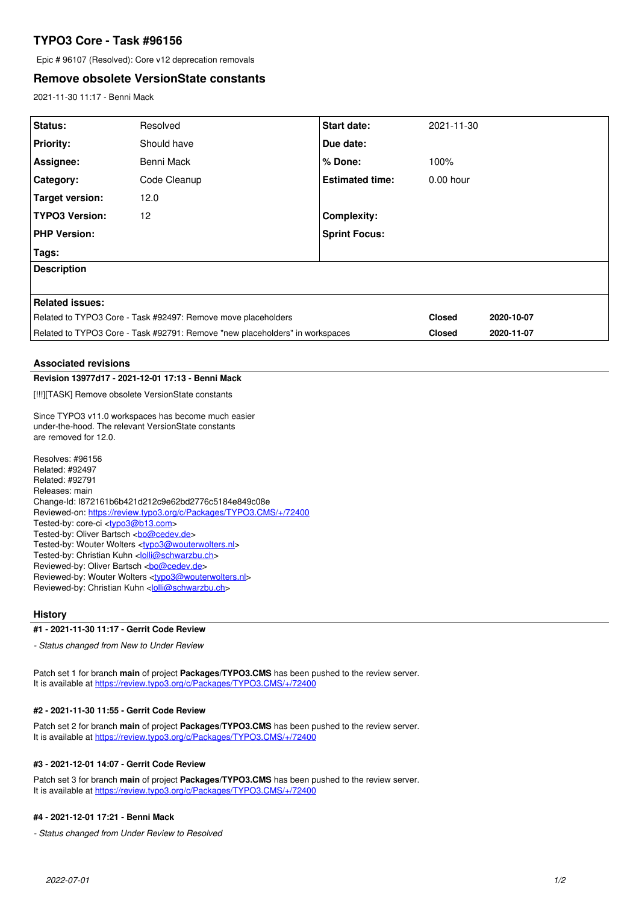# **TYPO3 Core - Task #96156**

Epic # 96107 (Resolved): Core v12 deprecation removals

## **Remove obsolete VersionState constants**

2021-11-30 11:17 - Benni Mack

| Status:                                                                      | Resolved     | <b>Start date:</b>     | 2021-11-30    |            |
|------------------------------------------------------------------------------|--------------|------------------------|---------------|------------|
| <b>Priority:</b>                                                             | Should have  | Due date:              |               |            |
| Assignee:                                                                    | Benni Mack   | % Done:                | 100%          |            |
| Category:                                                                    | Code Cleanup | <b>Estimated time:</b> | $0.00$ hour   |            |
| Target version:                                                              | 12.0         |                        |               |            |
| <b>TYPO3 Version:</b>                                                        | 12           | <b>Complexity:</b>     |               |            |
| <b>PHP Version:</b>                                                          |              | <b>Sprint Focus:</b>   |               |            |
| Tags:                                                                        |              |                        |               |            |
| <b>Description</b>                                                           |              |                        |               |            |
|                                                                              |              |                        |               |            |
| <b>Related issues:</b>                                                       |              |                        |               |            |
| Related to TYPO3 Core - Task #92497: Remove move placeholders                |              |                        | <b>Closed</b> | 2020-10-07 |
| Related to TYPO3 Core - Task #92791: Remove "new placeholders" in workspaces |              |                        | <b>Closed</b> | 2020-11-07 |

#### **Associated revisions**

#### **Revision 13977d17 - 2021-12-01 17:13 - Benni Mack**

[!!!][TASK] Remove obsolete VersionState constants

Since TYPO3 v11.0 workspaces has become much easier under-the-hood. The relevant VersionState constants are removed for 12.0.

Resolves: #96156 Related: #92497 Related: #92791 Releases: main Change-Id: I872161b6b421d212c9e62bd2776c5184e849c08e Reviewed-on:<https://review.typo3.org/c/Packages/TYPO3.CMS/+/72400> Tested-by: core-ci [<typo3@b13.com](mailto:typo3@b13.com)> Tested-by: Oliver Bartsch <br/> <br/> <br/> <br/> <br/>Completed-by: Oliver Bartsch <br/> <br/> <br/> <br/> <br/> <br/> <br/> <br/> <br/> <br/> <br/> <br/> <br/> <br/> <br/> <br/> <br/> <br/> <br/> <br/> <br/> <br/> <br/> Tested-by: Wouter Wolters [<typo3@wouterwolters.nl>](mailto:typo3@wouterwolters.nl) Tested-by: Christian Kuhn <[lolli@schwarzbu.ch](mailto:lolli@schwarzbu.ch)> Reviewed-by: Oliver Bartsch <br/> <br/> <br/> <br/> <br/>Cedev.de> Reviewed-by: Wouter Wolters <[typo3@wouterwolters.nl](mailto:typo3@wouterwolters.nl)> Reviewed-by: Christian Kuhn [<lolli@schwarzbu.ch>](mailto:lolli@schwarzbu.ch)

### **History**

### **#1 - 2021-11-30 11:17 - Gerrit Code Review**

*- Status changed from New to Under Review*

Patch set 1 for branch **main** of project **Packages/TYPO3.CMS** has been pushed to the review server. It is available at <https://review.typo3.org/c/Packages/TYPO3.CMS/+/72400>

#### **#2 - 2021-11-30 11:55 - Gerrit Code Review**

Patch set 2 for branch **main** of project **Packages/TYPO3.CMS** has been pushed to the review server. It is available at <https://review.typo3.org/c/Packages/TYPO3.CMS/+/72400>

#### **#3 - 2021-12-01 14:07 - Gerrit Code Review**

Patch set 3 for branch **main** of project **Packages/TYPO3.CMS** has been pushed to the review server. It is available at <https://review.typo3.org/c/Packages/TYPO3.CMS/+/72400>

#### **#4 - 2021-12-01 17:21 - Benni Mack**

*- Status changed from Under Review to Resolved*